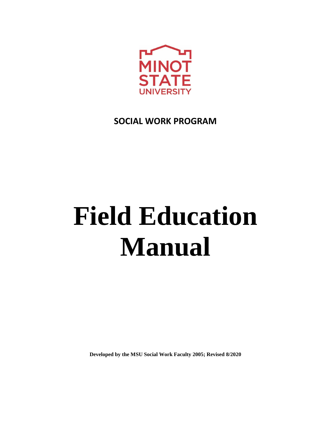

# **SOCIAL WORK PROGRAM**

# **Field Education Manual**

**Developed by the MSU Social Work Faculty 2005; Revised 8/2020**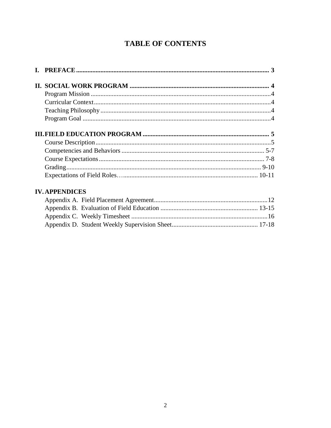## **TABLE OF CONTENTS**

| <b>IV. APPENDICES</b> |  |
|-----------------------|--|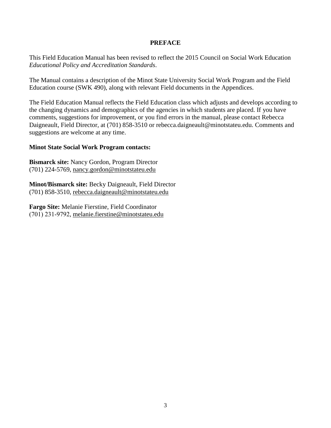#### **PREFACE**

This Field Education Manual has been revised to reflect the 2015 Council on Social Work Education *Educational Policy and Accreditation Standards*.

The Manual contains a description of the Minot State University Social Work Program and the Field Education course (SWK 490), along with relevant Field documents in the Appendices.

The Field Education Manual reflects the Field Education class which adjusts and develops according to the changing dynamics and demographics of the agencies in which students are placed. If you have comments, suggestions for improvement, or you find errors in the manual, please contact Rebecca Daigneault, Field Director, at (701) 858-3510 [or rebecca.daigneault@minotstateu.edu.](mailto:rebecca.daigneault@minotstateu.edu) Comments and suggestions are welcome at any time.

#### **Minot State Social Work Program contacts:**

**Bismarck site:** Nancy Gordon, Program Director (701) 224-5769, [nancy.gordon@minotstateu.edu](mailto:nancy.gordon@minotstateu.edu) 

**Minot/Bismarck site:** Becky Daigneault, Field Director (701) 858-3510, [rebecca.daigneault@minotstateu.edu](mailto:rebecca.daigneault@minotstateu.edu)

**Fargo Site:** Melanie Fierstine, Field Coordinator (701) 231-9792, [melanie.fierstine@minotstateu.edu](mailto:melanie.fierstine@minotstateu.edu)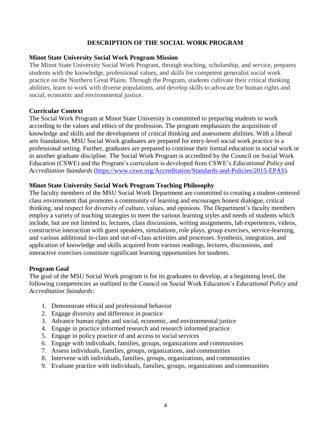#### **DESCRIPTION OF THE SOCIAL WORK PROGRAM**

#### **Minot State University Social Work Program Mission**

The Minot State University Social Work Program, through teaching, scholarship, and service, prepares students with the knowledge, professional values, and skills for competent generalist social work practice on the Northern Great Plains. Through the Program, students cultivate their critical thinking abilities, learn to work with diverse populations, and develop skills to advocate for human rights and social, economic and environmental justice.

#### <span id="page-3-0"></span>**Curricular Context**

The Social Work Program at Minot State University is committed to preparing students to work according to the values and ethics of the profession. The program emphasizes the acquisition of knowledge and skills and the development of critical thinking and assessment abilities. With a liberal arts foundation, MSU Social Work graduates are prepared for entry-level social work practice in a professional setting. Further, graduates are prepared to continue their formal education in social work or in another graduate discipline. The Social Work Program is accredited by the Council on Social Work Education (CSWE) and the Program's curriculum is developed from CSWE's *Educational Policy and Accreditation Standards* [\(https://www.cswe.org/Accreditation/Standards-and-Policies/2015-EPAS\)](https://www.cswe.org/Accreditation/Standards-and-Policies/2015-EPAS).

#### **Minot State University Social Work Program Teaching Philosophy**

The faculty members of the MSU Social Work Department are committed to creating a student-centered class environment that promotes a community of learning and encourages honest dialogue, critical thinking, and respect for diversity of culture, values, and opinions. The Department's faculty members employ a variety of teaching strategies to meet the various learning styles and needs of students which include, but are not limited to, lectures, class discussions, writing assignments, lab experiences, videos, constructive interaction with guest speakers, simulations, role plays, group exercises, service-learning, and various additional in-class and out-of-class activities and processes. Synthesis, integration, and application of knowledge and skills acquired from various readings, lectures, discussions, and interactive exercises constitute significant learning opportunities for students.

#### <span id="page-3-1"></span>**Program Goal**

The goal of the MSU Social Work program is for its graduates to develop, at a beginning level, the following competencies as outlined in the Council on Social Work Education's *Educational Policy and Accreditation Standards*:

- 1. Demonstrate ethical and professional behavior
- 2. Engage diversity and difference in practice
- 3. Advance human rights and social, economic, and environmental justice
- 4. Engage in practice informed research and research informed practice
- 5. Engage in policy practice of and access to social services
- 6. Engage with individuals, families, groups, organizations and communities
- 7. Assess individuals, families, groups, organizations, and communities
- 8. Intervene with individuals, families, groups, organizations, and communities
- 9. Evaluate practice with individuals, families, groups, organizations and communities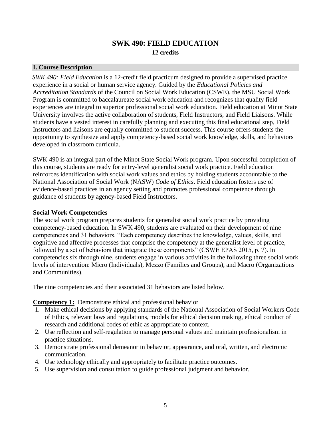## **SWK 490: FIELD EDUCATION 12 credits**

#### **I. Course Description**

*SWK 490: Field Education* is a 12-credit field practicum designed to provide a supervised practice experience in a social or human service agency. Guided by the *Educational Policies and Accreditation Standards* of the Council on Social Work Education (CSWE), the MSU Social Work Program is committed to baccalaureate social work education and recognizes that quality field experiences are integral to superior professional social work education. Field education at Minot State University involves the active collaboration of students, Field Instructors, and Field Liaisons. While students have a vested interest in carefully planning and executing this final educational step, Field Instructors and liaisons are equally committed to student success. This course offers students the opportunity to synthesize and apply competency-based social work knowledge, skills, and behaviors developed in classroom curricula.

SWK 490 is an integral part of the Minot State Social Work program. Upon successful completion of this course, students are ready for entry-level generalist social work practice. Field education reinforces identification with social work values and ethics by holding students accountable to the National Association of Social Work (NASW) *Code of Ethics*. Field education fosters use of evidence-based practices in an agency setting and promotes professional competence through guidance of students by agency-based Field Instructors.

#### **Social Work Competencies**

The social work program prepares students for generalist social work practice by providing competency-based education. In SWK 490, students are evaluated on their development of nine competencies and 31 behaviors. "Each competency describes the knowledge, values, skills, and cognitive and affective processes that comprise the competency at the generalist level of practice, followed by a set of behaviors that integrate these components" (CSWE EPAS 2015, p. 7). In competencies six through nine, students engage in various activities in the following three social work levels of intervention: Micro (Individuals), Mezzo (Families and Groups), and Macro (Organizations and Communities).

The nine competencies and their associated 31 behaviors are listed below.

**Competency 1:** Demonstrate ethical and professional behavior

- 1. Make ethical decisions by applying standards of the National Association of Social Workers Code of Ethics, relevant laws and regulations, models for ethical decision making, ethical conduct of research and additional codes of ethic as appropriate to context.
- 2. Use reflection and self-regulation to manage personal values and maintain professionalism in practice situations.
- 3. Demonstrate professional demeanor in behavior, appearance, and oral, written, and electronic communication.
- 4. Use technology ethically and appropriately to facilitate practice outcomes.
- 5. Use supervision and consultation to guide professional judgment and behavior.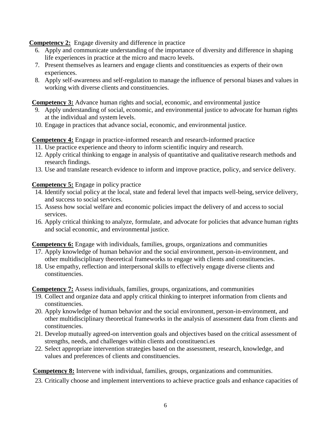**Competency 2:** Engage diversity and difference in practice

- 6. Apply and communicate understanding of the importance of diversity and difference in shaping life experiences in practice at the micro and macro levels.
- 7. Present themselves as learners and engage clients and constituencies as experts of their own experiences.
- 8. Apply self-awareness and self-regulation to manage the influence of personal biases and values in working with diverse clients and constituencies.

**Competency 3:** Advance human rights and social, economic, and environmental justice

- 9. Apply understanding of social, economic, and environmental justice to advocate for human rights at the individual and system levels.
- 10. Engage in practices that advance social, economic, and environmental justice.

**Competency 4:** Engage in practice-informed research and research-informed practice

- 11. Use practice experience and theory to inform scientific inquiry and research.
- 12. Apply critical thinking to engage in analysis of quantitative and qualitative research methods and research findings.
- 13. Use and translate research evidence to inform and improve practice, policy, and service delivery.

**Competency 5:** Engage in policy practice

- 14. Identify social policy at the local, state and federal level that impacts well-being, service delivery, and success to social services.
- 15. Assess how social welfare and economic policies impact the delivery of and accessto social services.
- 16. Apply critical thinking to analyze, formulate, and advocate for policies that advance human rights and social economic, and environmental justice.

**Competency 6:** Engage with individuals, families, groups, organizations and communities

- 17. Apply knowledge of human behavior and the social environment, person-in-environment, and other multidisciplinary theoretical frameworks to engage with clients and constituencies.
- 18. Use empathy, reflection and interpersonal skills to effectively engage diverse clients and constituencies.

**Competency 7:** Assess individuals, families, groups, organizations, and communities

- 19. Collect and organize data and apply critical thinking to interpret information from clients and constituencies.
- 20. Apply knowledge of human behavior and the social environment, person-in-environment, and other multidisciplinary theoretical frameworks in the analysis of assessment data from clients and constituencies.
- 21. Develop mutually agreed-on intervention goals and objectives based on the critical assessment of strengths, needs, and challenges within clients and constituenci.es
- 22. Select appropriate intervention strategies based on the assessment, research, knowledge, and values and preferences of clients and constituencies.

**Competency 8:** Intervene with individual, families, groups, organizations and communities.

23. Critically choose and implement interventions to achieve practice goals and enhance capacities of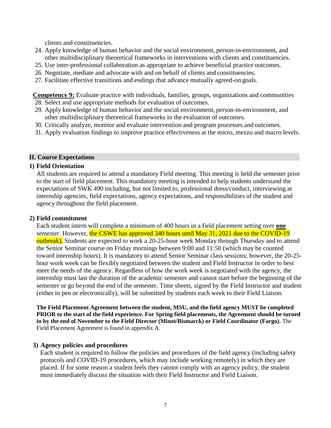clients and constituencies.

- 24. Apply knowledge of human behavior and the social environment, person-in-environment, and other multidisciplinary theoretical frameworks in interventions with clients and constituencies.
- 25. Use inter-professional collaboration as appropriate to achieve beneficial practice outcomes.
- 26. Negotiate, mediate and advocate with and on behalf of clients and constituencies.
- 27. Facilitate effective transitions and endings that advance mutually agreed-on goals.

**Competency 9:** Evaluate practice with individuals, families, groups, organizations and communities 28. Select and use appropriate methods for evaluation of outcomes.

- 29. Apply knowledge of human behavior and the social environment, person-in-environment, and other multidisciplinary theoretical frameworks in the evaluation of outcomes.
- 30. Critically analyze, monitor and evaluate intervention and program processes and outcomes.
- 31. Apply evaluation findings to improve practice effectiveness at the micro, mezzo and macro levels.

#### **II. Course Expectations**

#### **1) Field Orientation**

All students are required to attend a mandatory Field meeting. This meeting is held the semester prior to the start of field placement. This mandatory meeting is intended to help students understand the expectations of SWK 490 including, but not limited to, professional dress/conduct, interviewing at internship agencies, field expectations, agency expectations, and responsibilities of the student and agency throughout the field placement.

#### **2) Field commitment**

Each student intern will complete a minimum of 400 hours in a field placement setting over **one**  semester. However, the CSWE has approved 340 hours until May 31, 2021 due to the COVID-19 outbreak). Students are expected to work a 20-25-hour week Monday through Thursday and to attend the Senior Seminar course on Friday mornings between 9:00 and 11:50 (which may be counted toward internship hours). It is mandatory to attend Senior Seminar class sessions; however, the 20-25 hour work week can be flexibly negotiated between the student and Field Instructor in order to best meet the needs of the agency. Regardless of how the work week is negotiated with the agency, the internship must last the duration of the academic semester and cannot start before the beginning of the semester or go beyond the end of the semester. Time sheets, signed by the Field Instructor and student (either in pen or electronically), will be submitted by students each week to their Field Liaison.

**The Field Placement Agreement between the student, MSU, and the field agency MUST be completed PRIOR to the start of the field experience. For Spring field placements, the Agreement should be turned in by the end of November to the Field Director (Minot/Bismarck) or Field Coordinator (Fargo).** The Field Placement Agreement is found in appendix A.

#### **3) Agency policies and procedures**

Each student is required to follow the policies and procedures of the field agency (including safety protocols and COVID-19 procedures, which may include working remotely) in which they are placed. If for some reason a student feels they cannot comply with an agency policy, the student must immediately discuss the situation with their Field Instructor and Field Liaison.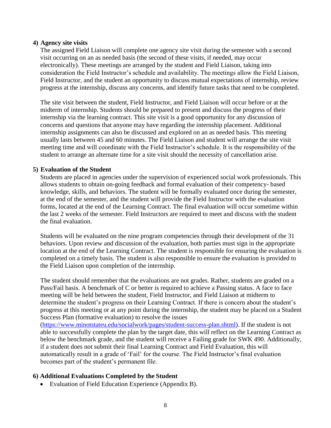#### **4) Agency site visits**

The assigned Field Liaison will complete one agency site visit during the semester with a second visit occurring on an as needed basis (the second of these visits, if needed, may occur electronically). These meetings are arranged by the student and Field Liaison, taking into consideration the Field Instructor's schedule and availability. The meetings allow the Field Liaison, Field Instructor, and the student an opportunity to discuss mutual expectations of internship, review progress at the internship, discuss any concerns, and identify future tasks that need to be completed.

The site visit between the student, Field Instructor, and Field Liaison will occur before or at the midterm of internship. Students should be prepared to present and discuss the progress of their internship via the learning contract. This site visit is a good opportunity for any discussion of concerns and questions that anyone may have regarding the internship placement. Additional internship assignments can also be discussed and explored on an as needed basis. This meeting usually lasts between 45 and 60 minutes. The Field Liaison and student will arrange the site visit meeting time and will coordinate with the Field Instructor's schedule. It is the responsibility of the student to arrange an alternate time for a site visit should the necessity of cancellation arise.

#### **5) Evaluation of the Student**

Students are placed in agencies under the supervision of experienced social work professionals. This allows students to obtain on-going feedback and formal evaluation of their competency- based knowledge, skills, and behaviors. The student will be formally evaluated once during the semester, at the end of the semester, and the student will provide the Field Instructor with the evaluation forms, located at the end of the Learning Contract. The final evaluation will occur sometime within the last 2 weeks of the semester. Field Instructors are required to meet and discuss with the student the final evaluation.

Students will be evaluated on the nine program competencies through their development of the 31 behaviors. Upon review and discussion of the evaluation, both parties must sign in the appropriate location at the end of the Learning Contract. The student is responsible for ensuring the evaluation is completed on a timely basis. The student is also responsible to ensure the evaluation is provided to the Field Liaison upon completion of the internship.

The student should remember that the evaluations are not grades. Rather, students are graded on a Pass/Fail basis. A benchmark of C or better is required to achieve a Passing status. A face to face meeting will be held between the student, Field Instructor, and Field Liaison at midterm to determine the student's progress on their Learning Contract. If there is concern about the student's progress at this meeting or at any point during the internship, the student may be placed on a Student Success Plan (formative evaluation) to resolve the issues

[\(https://www.minotstateu.edu/socialwork/pages/student-success-plan.shtml\)](https://www.minotstateu.edu/socialwork/pages/student-success-plan.shtml). If the student is not able to successfully complete the plan by the target date, this will reflect on the Learning Contract as below the benchmark grade, and the student will receive a Failing grade for SWK 490. Additionally, if a student does not submit their final Learning Contract and Field Evaluation, this will automatically result in a grade of 'Fail' for the course. The Field Instructor's final evaluation becomes part of the student's permanent file.

#### **6) Additional Evaluations Completed by the Student**

• Evaluation of Field Education Experience (Appendix B).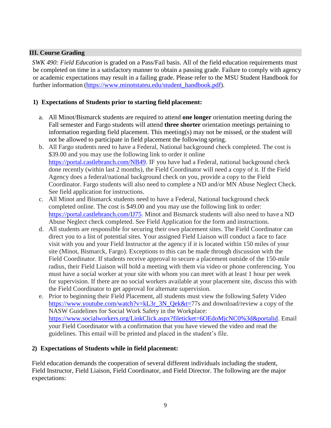#### **III. Course Grading**

*SWK 490: Field Education* is graded on a Pass/Fail basis. All of the field education requirements must be completed on time in a satisfactory manner to obtain a passing grade. Failure to comply with agency or academic expectations may result in a failing grade. Please refer to the MSU Student Handbook for further information [\(https://www.minotstateu.edu/student\\_handbook.pdf\)](https://www.minotstateu.edu/student_handbook.pdf).

#### **1) Expectations of Students prior to starting field placement:**

- a. All Minot/Bismarck students are required to attend **one longer** orientation meeting during the Fall semester and Fargo students will attend **three shorter** orientation meetings pertaining to information regarding field placement. This meeting(s) may not be missed, or the student will not be allowed to participate in field placement the following spring.
- b. All Fargo students need to have a Federal, National background check completed. The cost is \$39.00 and you may use the following link to order it online [https://portal.castlebranch.com/NB49.](https://portal.castlebranch.com/NB49) IF you have had a Federal, national background check done recently (within last 2 months), the Field Coordinator will need a copy of it. If the Field Agency does a federal/national background check on you, provide a copy to the Field Coordinator. Fargo students will also need to complete a ND and/or MN Abuse Neglect Check. See field application for instructions.
- c. All Minot and Bismarck students need to have a Federal, National background check completed online. The cost is \$49.00 and you may use the following link to order: [https://portal.castlebranch.com/IJ75.](https://portal.castlebranch.com/IJ75) Minot and Bismarck students will also need to have a ND Abuse Neglect check completed. See Field Application for the form and instructions.
- d. All students are responsible for securing their own placement sites. The Field Coordinator can direct you to a list of potential sites. Your assigned Field Liaison will conduct a face to face visit with you and your Field Instructor at the agency if it is located within 150 miles of your site (Minot, Bismarck, Fargo). Exceptions to this can be made through discussion with the Field Coordinator. If students receive approval to secure a placement outside of the 150-mile radius, their Field Liaison will hold a meeting with them via video or phone conferencing. You must have a social worker at your site with whom you can meet with at least 1 hour per week for supervision. If there are no social workers available at your placement site, discuss this with the Field Coordinator to get approval for alternate supervision.
- e. Prior to beginning their Field Placement, all students must view the following Safety Video [https://www.youtube.com/watch?v=kL3r\\_3N\\_Qek&t=7](https://www.youtube.com/watch?v=kL3r_3N_Qek&t=)7s and download/review a copy of the NASW Guidelines for Social Work Safety in the Workplace: [https://www.socialworkers.org/LinkClick.aspx?fileticket=6OEdoMjcNC0%3d&portalid.](https://www.socialworkers.org/LinkClick.aspx?fileticket=6OEdoMjcNC0%3d&portalid) Email your Field Coordinator with a confirmation that you have viewed the video and read the guidelines. This email will be printed and placed in the student's file.

#### **2) Expectations of Students while in field placement:**

Field education demands the cooperation of several different individuals including the student, Field Instructor, Field Liaison, Field Coordinator, and Field Director. The following are the major expectations: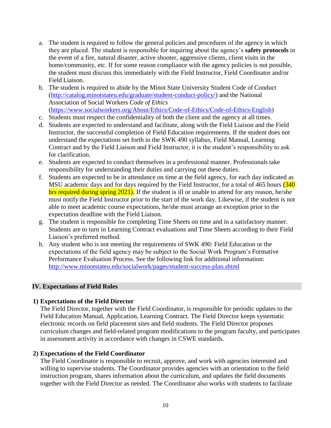- a. The student is required to follow the general policies and procedures of the agency in which they are placed. The student is responsible for inquiring about the agency's **safety protocols** in the event of a fire, natural disaster, active shooter, aggressive clients, client visits in the home/community, etc. If for some reason compliance with the agency policies is not possible, the student must discuss this immediately with the Field Instructor, Field Coordinator and/or Field Liaison.
- b. The student is required to abide by the Minot State University Student Code of Conduct [\(http://catalog.minotstateu.edu/graduate/student-conduct-policy/\)](http://catalog.minotstateu.edu/graduate/student-conduct-policy/) and the National Association of Social Workers *Code of Ethics*  [\(https://www.socialworkers.org/About/Ethics/Code-of-Ethics/Code-of-Ethics-English\)](https://www.socialworkers.org/About/Ethics/Code-of-Ethics/Code-of-Ethics-English)

c. Students must respect the confidentiality of both the client and the agency at all times.

- d. Students are expected to understand and facilitate, along with the Field Liaison and the Field Instructor, the successful completion of Field Education requirements. If the student does not understand the expectations set forth in the SWK 490 syllabus, Field Manual, Learning Contract and by the Field Liaison and Field Instructor, it is the student's responsibility to ask for clarification.
- e. Students are expected to conduct themselves in a professional manner. Professionals take responsibility for understanding their duties and carrying out these duties.
- f. Students are expected to be in attendance on time at the field agency, for each day indicated as MSU academic days and for days required by the Field Instructor, for a total of 465 hours (340) hrs required during spring 2021). If the student is ill or unable to attend for any reason, he/she must notify the Field Instructor prior to the start of the work day. Likewise, if the student is not able to meet academic course expectations, he/she must arrange an exception prior to the expectation deadline with the Field Liaison.
- g. The student is responsible for completing Time Sheets on time and in a satisfactory manner. Students are to turn in Learning Contract evaluations and Time Sheets according to their Field Liaison's preferred method.
- h. Any student who is not meeting the requirements of SWK 490: Field Education or the expectations of the field agency may be subject to the Social Work Program's Formative Performance Evaluation Process. See the following link for additional information: <http://www.minotstateu.edu/socialwork/pages/student-success-plan.shtml>

#### **IV. Expectations of Field Roles**

#### **1) Expectations of the Field Director**

The Field Director, together with the Field Coordinator, is responsible for periodic updates to the Field Education Manual, Application, Learning Contract. The Field Director keeps systematic electronic records on field placement sites and field students. The Field Director proposes curriculum changes and field-related program modifications to the program faculty, and participates in assessment activity in accordance with changes in CSWE standards.

#### **2) Expectations of the Field Coordinator**

The Field Coordinator is responsible to recruit, approve, and work with agencies interested and willing to supervise students. The Coordinator provides agencies with an orientation to the field instruction program, shares information about the curriculum, and updates the field documents together with the Field Director as needed. The Coordinator also works with students to facilitate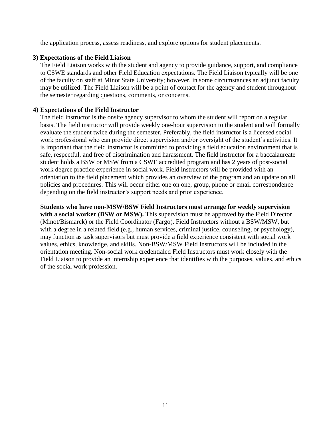the application process, assess readiness, and explore options for student placements.

#### **3) Expectations of the Field Liaison**

The Field Liaison works with the student and agency to provide guidance, support, and compliance to CSWE standards and other Field Education expectations. The Field Liaison typically will be one of the faculty on staff at Minot State University; however, in some circumstances an adjunct faculty may be utilized. The Field Liaison will be a point of contact for the agency and student throughout the semester regarding questions, comments, or concerns.

#### **4) Expectations of the Field Instructor**

The field instructor is the onsite agency supervisor to whom the student will report on a regular basis. The field instructor will provide weekly one-hour supervision to the student and will formally evaluate the student twice during the semester. Preferably, the field instructor is a licensed social work professional who can provide direct supervision and/or oversight of the student's activities. It is important that the field instructor is committed to providing a field education environment that is safe, respectful, and free of discrimination and harassment. The field instructor for a baccalaureate student holds a BSW or MSW from a CSWE accredited program and has 2 years of post-social work degree practice experience in social work. Field instructors will be provided with an orientation to the field placement which provides an overview of the program and an update on all policies and procedures. This will occur either one on one, group, phone or email correspondence depending on the field instructor's support needs and prior experience.

#### **Students who have non-MSW/BSW Field Instructors must arrange for weekly supervision**

with a social worker (BSW or MSW). This supervision must be approved by the Field Director (Minot/Bismarck) or the Field Coordinator (Fargo). Field Instructors without a BSW/MSW, but with a degree in a related field (e.g., human services, criminal justice, counseling, or psychology), may function as task supervisors but must provide a field experience consistent with social work values, ethics, knowledge, and skills. Non-BSW/MSW Field Instructors will be included in the orientation meeting. Non-social work credentialed Field Instructors must work closely with the Field Liaison to provide an internship experience that identifies with the purposes, values, and ethics of the social work profession.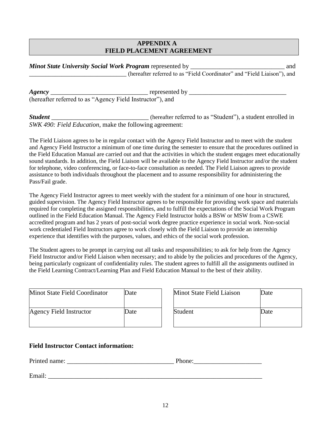#### **APPENDIX A FIELD PLACEMENT AGREEMENT**

| <b>Minot State University Social Work Program represented by</b>        | and |
|-------------------------------------------------------------------------|-----|
| (hereafter referred to as "Field Coordinator" and "Field Liaison"), and |     |

*Agency* \_\_\_\_\_\_\_\_\_\_\_\_\_\_\_\_\_\_\_\_\_\_\_\_\_\_\_\_\_\_ represented by \_\_\_\_\_\_\_\_\_\_\_\_\_\_\_\_\_\_\_\_\_\_\_\_\_\_\_\_\_\_ (hereafter referred to as "Agency Field Instructor"), and

*Student* \_\_\_\_\_\_\_\_\_\_\_\_\_\_\_\_\_\_\_\_\_\_\_\_\_\_\_\_\_\_ (hereafter referred to as "Student"), a student enrolled in *SWK 490: Field Education*, make the following agreement:

The Field Liaison agrees to be in regular contact with the Agency Field Instructor and to meet with the student and Agency Field Instructor a minimum of one time during the semester to ensure that the procedures outlined in the Field Education Manual are carried out and that the activities in which the student engages meet educationally sound standards. In addition, the Field Liaison will be available to the Agency Field Instructor and/or the student for telephone, video conferencing, or face-to-face consultation as needed. The Field Liaison agrees to provide assistance to both individuals throughout the placement and to assume responsibility for administering the Pass/Fail grade.

The Agency Field Instructor agrees to meet weekly with the student for a minimum of one hour in structured, guided supervision. The Agency Field Instructor agrees to be responsible for providing work space and materials required for completing the assigned responsibilities, and to fulfill the expectations of the Social Work Program outlined in the Field Education Manual. The Agency Field Instructor holds a BSW or MSW from a CSWE accredited program and has 2 years of post-social work degree practice experience in social work. Non-social work credentialed Field Instructors agree to work closely with the Field Liaison to provide an internship experience that identifies with the purposes, values, and ethics of the social work profession.

The Student agrees to be prompt in carrying out all tasks and responsibilities; to ask for help from the Agency Field Instructor and/or Field Liaison when necessary; and to abide by the policies and procedures of the Agency, being particularly cognizant of confidentiality rules. The student agrees to fulfill all the assignments outlined in the Field Learning Contract/Learning Plan and Field Education Manual to the best of their ability.

| Minot State Field Coordinator | Date | Minot State Field Liaison | Date |
|-------------------------------|------|---------------------------|------|
| Agency Field Instructor       | Date | Student                   | )ate |

| Minot State Field Liaison | Date |
|---------------------------|------|
| Student                   | Date |

#### **Field Instructor Contact information:**

Printed name: \_\_\_\_\_\_\_\_\_\_\_\_\_\_\_\_\_\_\_\_\_\_\_\_\_\_\_\_\_\_\_\_\_ Phone:\_\_\_\_\_\_\_\_\_\_\_\_\_\_\_\_\_\_\_\_\_

Email:  $\Box$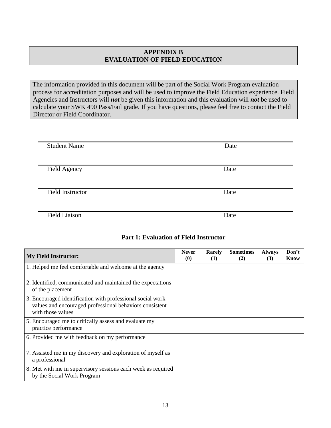#### **APPENDIX B EVALUATION OF FIELD EDUCATION**

The information provided in this document will be part of the Social Work Program evaluation process for accreditation purposes and will be used to improve the Field Education experience. Field Agencies and Instructors will *not* be given this information and this evaluation will *not* be used to calculate your SWK 490 Pass/Fail grade. If you have questions, please feel free to contact the Field Director or Field Coordinator.

| <b>Student Name</b>     | Date |
|-------------------------|------|
|                         |      |
| Field Agency            | Date |
|                         |      |
| <b>Field Instructor</b> | Date |
|                         |      |
| <b>Field Liaison</b>    | Date |

#### **Part 1: Evaluation of Field Instructor**

| <b>My Field Instructor:</b>                                                                                                                | <b>Never</b><br>(0) | Rarely<br>(1) | <b>Sometimes</b><br>(2) | <b>Always</b><br>(3) | Don't<br>Know |
|--------------------------------------------------------------------------------------------------------------------------------------------|---------------------|---------------|-------------------------|----------------------|---------------|
| 1. Helped me feel comfortable and welcome at the agency                                                                                    |                     |               |                         |                      |               |
| 2. Identified, communicated and maintained the expectations<br>of the placement                                                            |                     |               |                         |                      |               |
| 3. Encouraged identification with professional social work<br>values and encouraged professional behaviors consistent<br>with those values |                     |               |                         |                      |               |
| 5. Encouraged me to critically assess and evaluate my<br>practice performance                                                              |                     |               |                         |                      |               |
| 6. Provided me with feedback on my performance                                                                                             |                     |               |                         |                      |               |
| 7. Assisted me in my discovery and exploration of myself as<br>a professional                                                              |                     |               |                         |                      |               |
| 8. Met with me in supervisory sessions each week as required<br>by the Social Work Program                                                 |                     |               |                         |                      |               |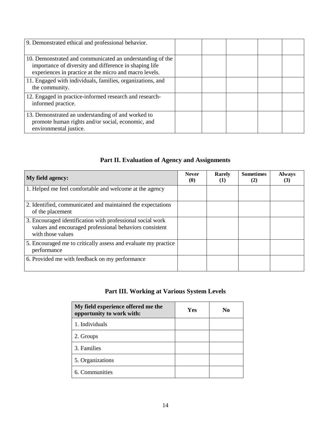| 9. Demonstrated ethical and professional behavior.                                                                                                                            |  |  |  |
|-------------------------------------------------------------------------------------------------------------------------------------------------------------------------------|--|--|--|
| 10. Demonstrated and communicated an understanding of the<br>importance of diversity and difference in shaping life<br>experiences in practice at the micro and macro levels. |  |  |  |
| 11. Engaged with individuals, families, organizations, and<br>the community.                                                                                                  |  |  |  |
| 12. Engaged in practice-informed research and research-<br>informed practice.                                                                                                 |  |  |  |
| 13. Demonstrated an understanding of and worked to<br>promote human rights and/or social, economic, and<br>environmental justice.                                             |  |  |  |

## **Part II. Evaluation of Agency and Assignments**

| My field agency:                                                                                                                           | <b>Never</b><br>$\boldsymbol{\theta}$ | Rarely<br>(1) | <b>Sometimes</b><br>(2) | <b>Always</b><br>(3) |
|--------------------------------------------------------------------------------------------------------------------------------------------|---------------------------------------|---------------|-------------------------|----------------------|
| 1. Helped me feel comfortable and welcome at the agency                                                                                    |                                       |               |                         |                      |
| 2. Identified, communicated and maintained the expectations<br>of the placement                                                            |                                       |               |                         |                      |
| 3. Encouraged identification with professional social work<br>values and encouraged professional behaviors consistent<br>with those values |                                       |               |                         |                      |
| 5. Encouraged me to critically assess and evaluate my practice<br>performance                                                              |                                       |               |                         |                      |
| 6. Provided me with feedback on my performance                                                                                             |                                       |               |                         |                      |

## **Part III. Working at Various System Levels**

| My field experience offered me the<br>opportunity to work with: | Yes | No |
|-----------------------------------------------------------------|-----|----|
| 1. Individuals                                                  |     |    |
| 2. Groups                                                       |     |    |
| 3. Families                                                     |     |    |
| 5. Organizations                                                |     |    |
| 6. Communities                                                  |     |    |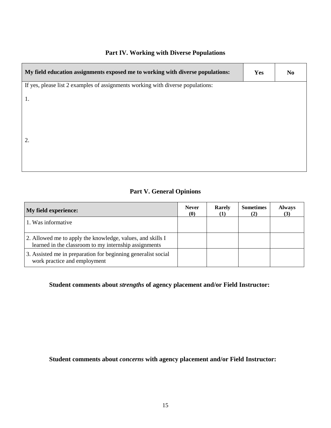## **Part IV. Working with Diverse Populations**

| My field education assignments exposed me to working with diverse populations:  | Yes | N <sub>0</sub> |
|---------------------------------------------------------------------------------|-----|----------------|
| If yes, please list 2 examples of assignments working with diverse populations: |     |                |
| 1.                                                                              |     |                |
|                                                                                 |     |                |
|                                                                                 |     |                |
| 2.                                                                              |     |                |
|                                                                                 |     |                |
|                                                                                 |     |                |
|                                                                                 |     |                |

# **Part V. General Opinions**

| <b>My field experience:</b>                                                                                         | <b>Never</b><br>$\boldsymbol{0}$ | Rarely | <b>Sometimes</b><br>(2) | <b>Always</b><br>(3) |
|---------------------------------------------------------------------------------------------------------------------|----------------------------------|--------|-------------------------|----------------------|
| 1. Was informative                                                                                                  |                                  |        |                         |                      |
| 2. Allowed me to apply the knowledge, values, and skills I<br>learned in the classroom to my internship assignments |                                  |        |                         |                      |
| 3. Assisted me in preparation for beginning generalist social<br>work practice and employment                       |                                  |        |                         |                      |

## **Student comments about** *strengths* **of agency placement and/or Field Instructor:**

#### **Student comments about** *concerns* **with agency placement and/or Field Instructor:**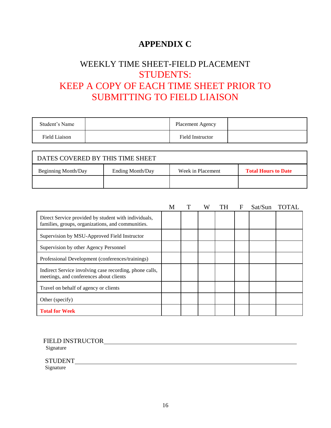# **APPENDIX C**

# WEEKLY TIME SHEET-FIELD PLACEMENT STUDENTS: KEEP A COPY OF EACH TIME SHEET PRIOR TO SUBMITTING TO FIELD LIAISON

| Student's Name | <b>Placement Agency</b> |  |
|----------------|-------------------------|--|
| Field Liaison  | <b>Field Instructor</b> |  |

| DATES COVERED BY THIS TIME SHEET |                  |                   |                            |  |  |  |  |  |
|----------------------------------|------------------|-------------------|----------------------------|--|--|--|--|--|
| <b>Beginning Month/Day</b>       | Ending Month/Day | Week in Placement | <b>Total Hours to Date</b> |  |  |  |  |  |
|                                  |                  |                   |                            |  |  |  |  |  |

|                                                                                                           | М | W | TH | F | Sat/Sun | <b>TOTAL</b> |
|-----------------------------------------------------------------------------------------------------------|---|---|----|---|---------|--------------|
| Direct Service provided by student with individuals,<br>families, groups, organizations, and communities. |   |   |    |   |         |              |
| Supervision by MSU-Approved Field Instructor                                                              |   |   |    |   |         |              |
| Supervision by other Agency Personnel                                                                     |   |   |    |   |         |              |
| Professional Development (conferences/trainings)                                                          |   |   |    |   |         |              |
| Indirect Service involving case recording, phone calls,<br>meetings, and conferences about clients        |   |   |    |   |         |              |
| Travel on behalf of agency or clients                                                                     |   |   |    |   |         |              |
| Other (specify)                                                                                           |   |   |    |   |         |              |
| <b>Total for Week</b>                                                                                     |   |   |    |   |         |              |

FIELD INSTRUCTOR

Signature

STUDENT

Signature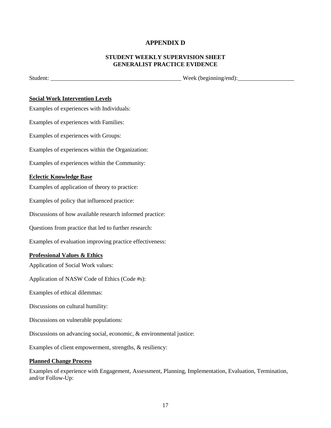#### **APPENDIX D**

#### **STUDENT WEEKLY SUPERVISION SHEET GENERALIST PRACTICE EVIDENCE**

Student: \_\_\_\_\_\_\_\_\_\_\_\_\_\_\_\_\_\_\_\_\_\_\_\_\_\_\_\_\_\_\_\_\_\_\_\_\_\_\_\_\_\_\_\_ Week (beginning/end):\_\_\_\_\_\_\_\_\_\_\_\_\_\_\_\_\_\_\_

#### **Social Work Intervention Levels**

Examples of experiences with Individuals:

Examples of experiences with Families:

Examples of experiences with Groups:

Examples of experiences within the Organization:

Examples of experiences within the Community:

#### **Eclectic Knowledge Base**

Examples of application of theory to practice:

Examples of policy that influenced practice:

Discussions of how available research informed practice:

Questions from practice that led to further research:

Examples of evaluation improving practice effectiveness:

#### **Professional Values & Ethics**

Application of Social Work values:

Application of NASW Code of Ethics (Code #s):

Examples of ethical dilemmas:

Discussions on cultural humility:

Discussions on vulnerable populations:

Discussions on advancing social, economic, & environmental justice:

Examples of client empowerment, strengths, & resiliency:

#### **Planned Change Process**

Examples of experience with Engagement, Assessment, Planning, Implementation, Evaluation, Termination, and/or Follow-Up: